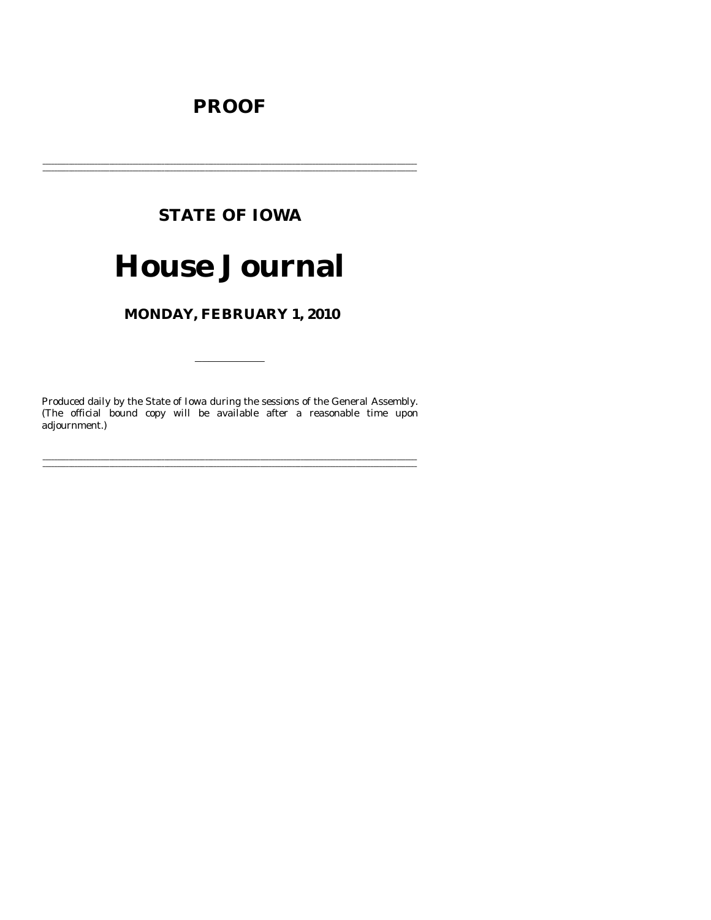# **PROOF**

# **STATE OF IOWA**

# **House Journal**

# MONDAY, FEBRUARY 1, 2010

Produced daily by the State of Iowa during the sessions of the General Assembly. (The official bound copy will be available after a reasonable time upon adjournment.)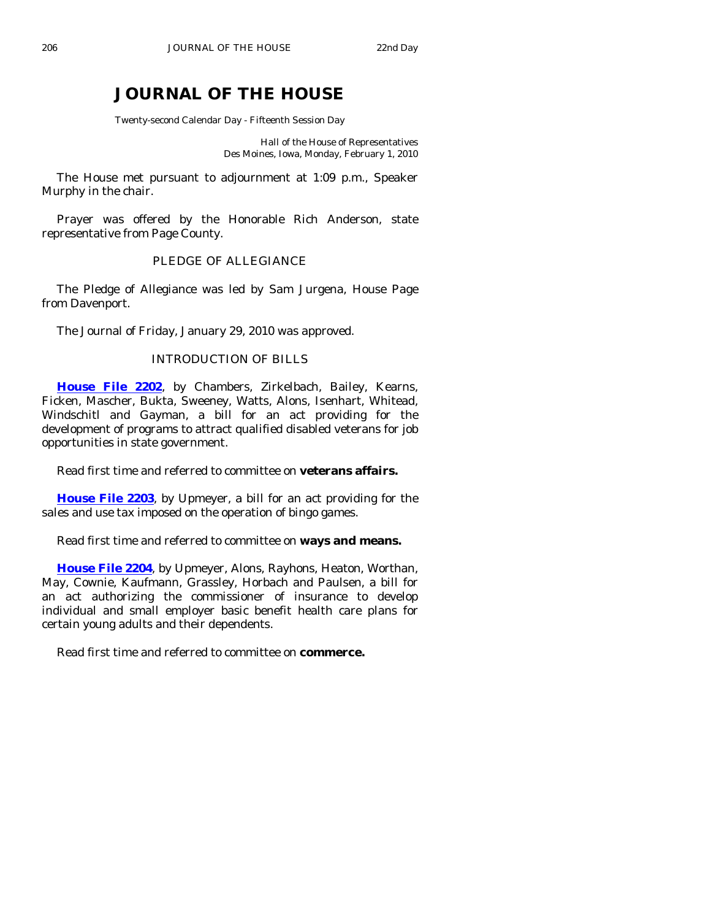# **JOURNAL OF THE HOUSE**

Twenty-second Calendar Day - Fifteenth Session Day

Hall of the House of Representatives Des Moines, Iowa, Monday, February 1, 2010

 The House met pursuant to adjournment at 1:09 p.m., Speaker Murphy in the chair.

 Prayer was offered by the Honorable Rich Anderson, state representative from Page County.

# PLEDGE OF ALLEGIANCE

 The Pledge of Allegiance was led by Sam Jurgena, House Page from Davenport.

The Journal of Friday, January 29, 2010 was approved.

# INTRODUCTION OF BILLS

**[House File 2202](http://coolice.legis.state.ia.us/Cool-ICE/default.asp?Category=billinfo&Service=Billbook&frame=1&GA=83&hbill=HF2202)**, by Chambers, Zirkelbach, Bailey, Kearns, Ficken, Mascher, Bukta, Sweeney, Watts, Alons, Isenhart, Whitead, Windschitl and Gayman, a bill for an act providing for the development of programs to attract qualified disabled veterans for job opportunities in state government.

Read first time and referred to committee on **veterans affairs.** 

**[House File 2203](http://coolice.legis.state.ia.us/Cool-ICE/default.asp?Category=billinfo&Service=Billbook&frame=1&GA=83&hbill=HF2203)**, by Upmeyer, a bill for an act providing for the sales and use tax imposed on the operation of bingo games.

Read first time and referred to committee on **ways and means.** 

**[House File 2204](http://coolice.legis.state.ia.us/Cool-ICE/default.asp?Category=billinfo&Service=Billbook&frame=1&GA=83&hbill=HF2204)**, by Upmeyer, Alons, Rayhons, Heaton, Worthan, May, Cownie, Kaufmann, Grassley, Horbach and Paulsen, a bill for an act authorizing the commissioner of insurance to develop individual and small employer basic benefit health care plans for certain young adults and their dependents.

Read first time and referred to committee on **commerce.**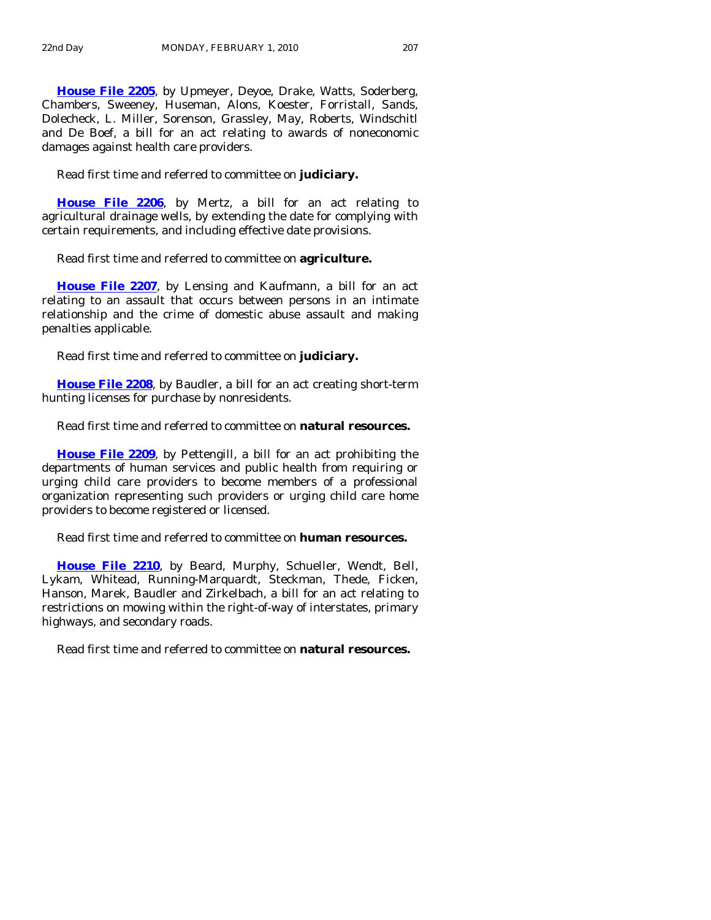**[House File 2205](http://coolice.legis.state.ia.us/Cool-ICE/default.asp?Category=billinfo&Service=Billbook&frame=1&GA=83&hbill=HF2205)**, by Upmeyer, Deyoe, Drake, Watts, Soderberg, Chambers, Sweeney, Huseman, Alons, Koester, Forristall, Sands, Dolecheck, L. Miller, Sorenson, Grassley, May, Roberts, Windschitl and De Boef, a bill for an act relating to awards of noneconomic damages against health care providers.

Read first time and referred to committee on **judiciary.** 

**[House File 2206](http://coolice.legis.state.ia.us/Cool-ICE/default.asp?Category=billinfo&Service=Billbook&frame=1&GA=83&hbill=HF2206)**, by Mertz, a bill for an act relating to agricultural drainage wells, by extending the date for complying with certain requirements, and including effective date provisions.

Read first time and referred to committee on **agriculture.** 

**[House File 2207](http://coolice.legis.state.ia.us/Cool-ICE/default.asp?Category=billinfo&Service=Billbook&frame=1&GA=83&hbill=HF2207)**, by Lensing and Kaufmann, a bill for an act relating to an assault that occurs between persons in an intimate relationship and the crime of domestic abuse assault and making penalties applicable.

Read first time and referred to committee on **judiciary.** 

**[House File 2208](http://coolice.legis.state.ia.us/Cool-ICE/default.asp?Category=billinfo&Service=Billbook&frame=1&GA=83&hbill=HF2208)**, by Baudler, a bill for an act creating short-term hunting licenses for purchase by nonresidents.

Read first time and referred to committee on **natural resources.** 

**[House File 2209](http://coolice.legis.state.ia.us/Cool-ICE/default.asp?Category=billinfo&Service=Billbook&frame=1&GA=83&hbill=HF2209)**, by Pettengill, a bill for an act prohibiting the departments of human services and public health from requiring or urging child care providers to become members of a professional organization representing such providers or urging child care home providers to become registered or licensed.

Read first time and referred to committee on **human resources.** 

**[House File 2210](http://coolice.legis.state.ia.us/Cool-ICE/default.asp?Category=billinfo&Service=Billbook&frame=1&GA=83&hbill=HF2210)**, by Beard, Murphy, Schueller, Wendt, Bell, Lykam, Whitead, Running-Marquardt, Steckman, Thede, Ficken, Hanson, Marek, Baudler and Zirkelbach, a bill for an act relating to restrictions on mowing within the right-of-way of interstates, primary highways, and secondary roads.

Read first time and referred to committee on **natural resources.**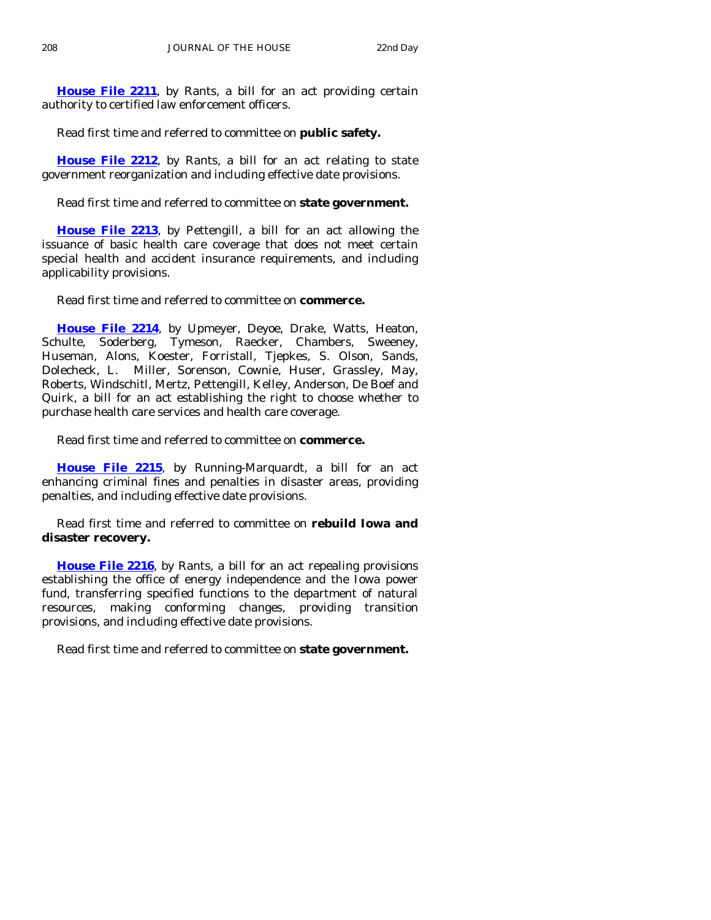**[House File 2211](http://coolice.legis.state.ia.us/Cool-ICE/default.asp?Category=billinfo&Service=Billbook&frame=1&GA=83&hbill=HF2211)**, by Rants, a bill for an act providing certain authority to certified law enforcement officers.

Read first time and referred to committee on **public safety.** 

**[House File 2212](http://coolice.legis.state.ia.us/Cool-ICE/default.asp?Category=billinfo&Service=Billbook&frame=1&GA=83&hbill=HF2212)**, by Rants, a bill for an act relating to state government reorganization and including effective date provisions.

Read first time and referred to committee on **state government.** 

**[House File 2213](http://coolice.legis.state.ia.us/Cool-ICE/default.asp?Category=billinfo&Service=Billbook&frame=1&GA=83&hbill=HF2213)**, by Pettengill, a bill for an act allowing the issuance of basic health care coverage that does not meet certain special health and accident insurance requirements, and including applicability provisions.

Read first time and referred to committee on **commerce.** 

**[House File 2214](http://coolice.legis.state.ia.us/Cool-ICE/default.asp?Category=billinfo&Service=Billbook&frame=1&GA=83&hbill=HF2214)**, by Upmeyer, Deyoe, Drake, Watts, Heaton, Schulte, Soderberg, Tymeson, Raecker, Chambers, Sweeney, Huseman, Alons, Koester, Forristall, Tjepkes, S. Olson, Sands, Dolecheck, L. Miller, Sorenson, Cownie, Huser, Grassley, May, Roberts, Windschitl, Mertz, Pettengill, Kelley, Anderson, De Boef and Quirk, a bill for an act establishing the right to choose whether to purchase health care services and health care coverage.

Read first time and referred to committee on **commerce.** 

**[House File 2215](http://coolice.legis.state.ia.us/Cool-ICE/default.asp?Category=billinfo&Service=Billbook&frame=1&GA=83&hbill=HF2215)**, by Running-Marquardt, a bill for an act enhancing criminal fines and penalties in disaster areas, providing penalties, and including effective date provisions.

 Read first time and referred to committee on **rebuild Iowa and disaster recovery.** 

**[House File 2216](http://coolice.legis.state.ia.us/Cool-ICE/default.asp?Category=billinfo&Service=Billbook&frame=1&GA=83&hbill=HF2216)**, by Rants, a bill for an act repealing provisions establishing the office of energy independence and the Iowa power fund, transferring specified functions to the department of natural resources, making conforming changes, providing transition provisions, and including effective date provisions.

Read first time and referred to committee on **state government.**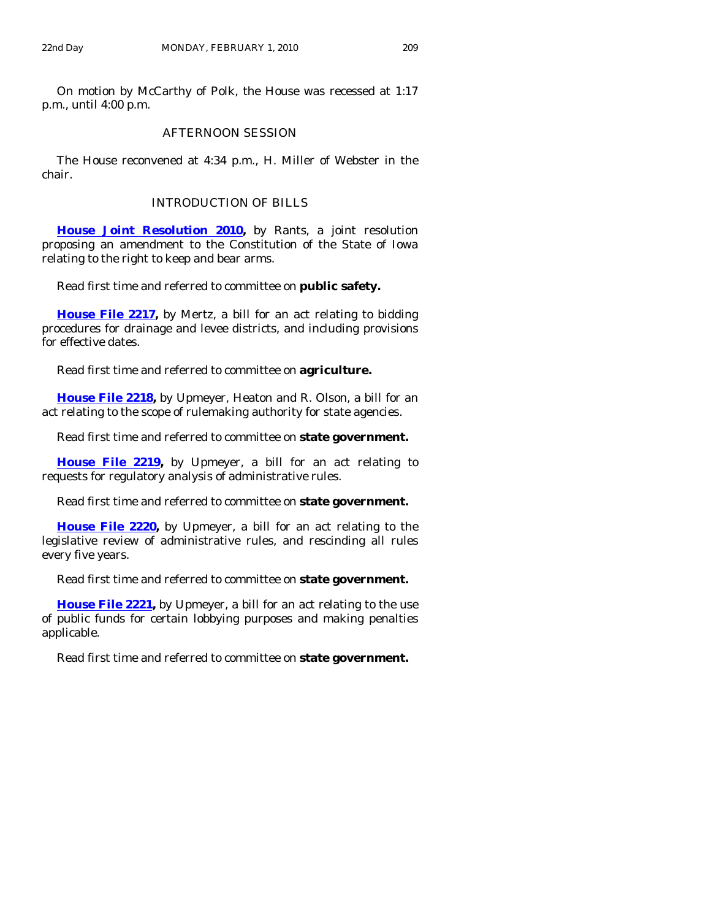On motion by McCarthy of Polk, the House was recessed at 1:17 p.m., until 4:00 p.m.

# AFTERNOON SESSION

 The House reconvened at 4:34 p.m., H. Miller of Webster in the chair.

# INTRODUCTION OF BILLS

**[House Joint Resolution 2010,](http://coolice.legis.state.ia.us/Cool-ICE/default.asp?Category=billinfo&Service=Billbook&frame=1&GA=83&hbill=HJR2010)** by Rants, a joint resolution proposing an amendment to the Constitution of the State of Iowa relating to the right to keep and bear arms.

Read first time and referred to committee on **public safety.** 

**[House File 2217](http://coolice.legis.state.ia.us/Cool-ICE/default.asp?Category=billinfo&Service=Billbook&frame=1&GA=83&hbill=HF2217),** by Mertz, a bill for an act relating to bidding procedures for drainage and levee districts, and including provisions for effective dates.

Read first time and referred to committee on **agriculture.** 

**[House File 2218,](http://coolice.legis.state.ia.us/Cool-ICE/default.asp?Category=billinfo&Service=Billbook&frame=1&GA=83&hbill=HF2218)** by Upmeyer, Heaton and R. Olson, a bill for an act relating to the scope of rulemaking authority for state agencies.

Read first time and referred to committee on **state government.** 

**[House File 2219,](http://coolice.legis.state.ia.us/Cool-ICE/default.asp?Category=billinfo&Service=Billbook&frame=1&GA=83&hbill=HF2219)** by Upmeyer, a bill for an act relating to requests for regulatory analysis of administrative rules.

Read first time and referred to committee on **state government.** 

**[House File 2220](http://coolice.legis.state.ia.us/Cool-ICE/default.asp?Category=billinfo&Service=Billbook&frame=1&GA=83&hbill=HF2220),** by Upmeyer, a bill for an act relating to the legislative review of administrative rules, and rescinding all rules every five years.

Read first time and referred to committee on **state government.** 

**[House File 2221](http://coolice.legis.state.ia.us/Cool-ICE/default.asp?Category=billinfo&Service=Billbook&frame=1&GA=83&hbill=HF2221),** by Upmeyer, a bill for an act relating to the use of public funds for certain lobbying purposes and making penalties applicable.

Read first time and referred to committee on **state government.**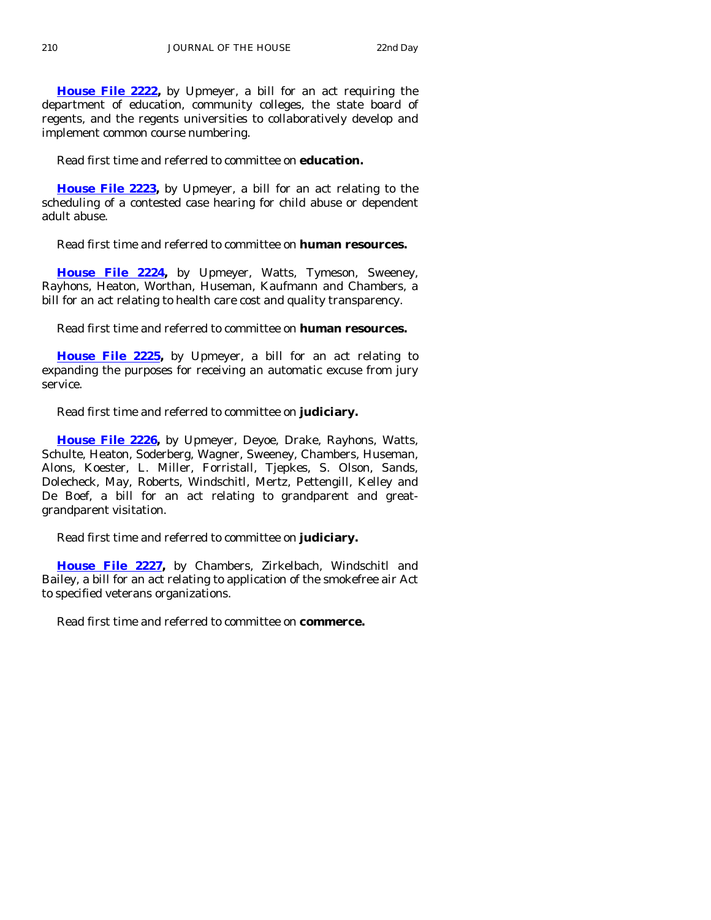**[House File 2222](http://coolice.legis.state.ia.us/Cool-ICE/default.asp?Category=billinfo&Service=Billbook&frame=1&GA=83&hbill=HF2222),** by Upmeyer, a bill for an act requiring the department of education, community colleges, the state board of regents, and the regents universities to collaboratively develop and implement common course numbering.

Read first time and referred to committee on **education.** 

**[House File 2223](http://coolice.legis.state.ia.us/Cool-ICE/default.asp?Category=billinfo&Service=Billbook&frame=1&GA=83&hbill=HF2223),** by Upmeyer, a bill for an act relating to the scheduling of a contested case hearing for child abuse or dependent adult abuse.

Read first time and referred to committee on **human resources.** 

**[House File 2224](http://coolice.legis.state.ia.us/Cool-ICE/default.asp?Category=billinfo&Service=Billbook&frame=1&GA=83&hbill=HF2224),** by Upmeyer, Watts, Tymeson, Sweeney, Rayhons, Heaton, Worthan, Huseman, Kaufmann and Chambers, a bill for an act relating to health care cost and quality transparency.

Read first time and referred to committee on **human resources.** 

**[House File 2225,](http://coolice.legis.state.ia.us/Cool-ICE/default.asp?Category=billinfo&Service=Billbook&frame=1&GA=83&hbill=HF2225)** by Upmeyer, a bill for an act relating to expanding the purposes for receiving an automatic excuse from jury service.

Read first time and referred to committee on **judiciary.** 

**[House File 2226,](http://coolice.legis.state.ia.us/Cool-ICE/default.asp?Category=billinfo&Service=Billbook&frame=1&GA=83&hbill=HF2226)** by Upmeyer, Deyoe, Drake, Rayhons, Watts, Schulte, Heaton, Soderberg, Wagner, Sweeney, Chambers, Huseman, Alons, Koester, L. Miller, Forristall, Tjepkes, S. Olson, Sands, Dolecheck, May, Roberts, Windschitl, Mertz, Pettengill, Kelley and De Boef, a bill for an act relating to grandparent and greatgrandparent visitation.

Read first time and referred to committee on **judiciary.** 

**[House File 2227](http://coolice.legis.state.ia.us/Cool-ICE/default.asp?Category=billinfo&Service=Billbook&frame=1&GA=83&hbill=HF2227),** by Chambers, Zirkelbach, Windschitl and Bailey, a bill for an act relating to application of the smokefree air Act to specified veterans organizations.

Read first time and referred to committee on **commerce.**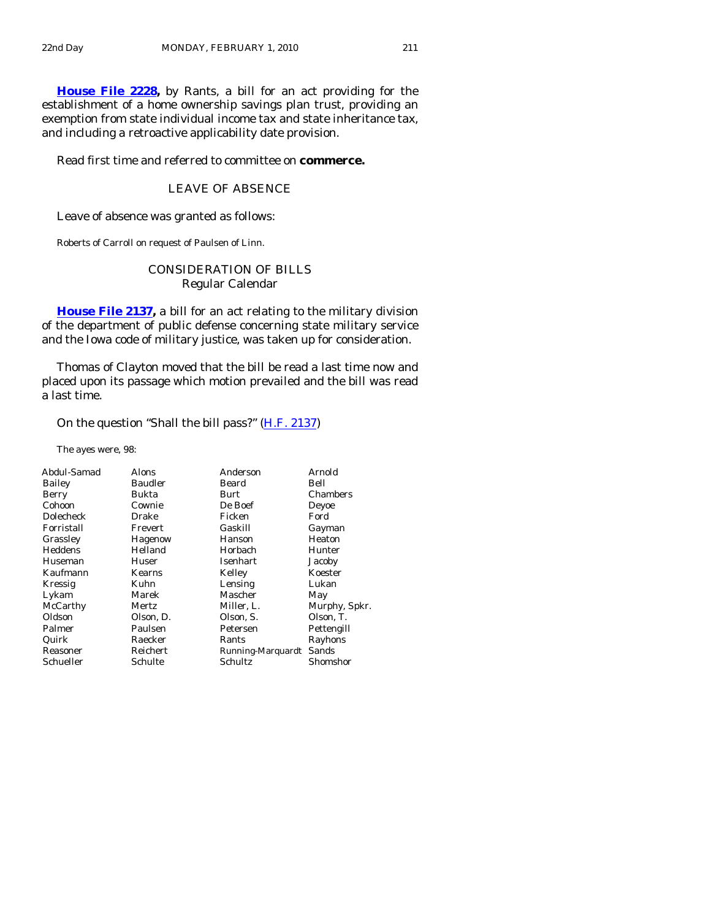**[House File 2228,](http://coolice.legis.state.ia.us/Cool-ICE/default.asp?Category=billinfo&Service=Billbook&frame=1&GA=83&hbill=HF2228)** by Rants, a bill for an act providing for the establishment of a home ownership savings plan trust, providing an exemption from state individual income tax and state inheritance tax, and including a retroactive applicability date provision.

Read first time and referred to committee on **commerce.** 

# LEAVE OF ABSENCE

Leave of absence was granted as follows:

Roberts of Carroll on request of Paulsen of Linn.

# CONSIDERATION OF BILLS Regular Calendar

**[House File 2137](http://coolice.legis.state.ia.us/Cool-ICE/default.asp?Category=billinfo&Service=Billbook&frame=1&GA=83&hbill=HF2137),** a bill for an act relating to the military division of the department of public defense concerning state military service and the Iowa code of military justice, was taken up for consideration.

 Thomas of Clayton moved that the bill be read a last time now and placed upon its passage which motion prevailed and the bill was read a last time.

On the question "Shall the bill pass?" [\(H.F. 2137\)](http://coolice.legis.state.ia.us/Cool-ICE/default.asp?Category=billinfo&Service=Billbook&frame=1&GA=83&hbill=HF2137)

The ayes were, 98:

| <b>Alons</b>   | Anderson          | Arnold        |
|----------------|-------------------|---------------|
| <b>Baudler</b> | Beard             | Bell          |
| Bukta          | Burt              | Chambers      |
| Cownie         | De Boef           | Deyoe         |
| Drake          | Ficken            | Ford          |
| Frevert        | Gaskill           | Gayman        |
| Hagenow        | Hanson            | Heaton        |
| Helland        | Horbach           | Hunter        |
| Huser          | Isenhart          | Jacoby        |
| Kearns         | Kelley            | Koester       |
| Kuhn           | Lensing           | Lukan         |
| Marek          | Mascher           | May           |
| Mertz          | Miller, L.        | Murphy, Spkr. |
| Olson, D.      | Olson, S.         | Olson, T.     |
| Paulsen        | Petersen          | Pettengill    |
| Raecker        | Rants             | Rayhons       |
| Reichert       | Running-Marquardt | Sands         |
| Schulte        | Schultz           | Shomshor      |
|                |                   |               |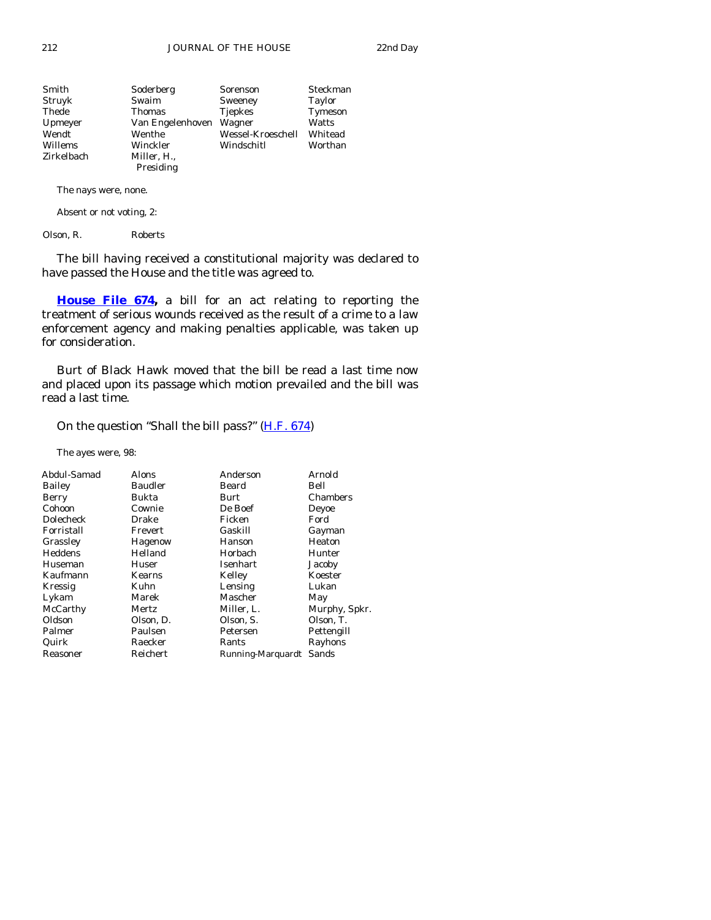| Smith      | Soderberg        | Sorenson          | Steckman |
|------------|------------------|-------------------|----------|
| Struyk     | Swaim            | Sweeney           | Taylor   |
| Thede      | <b>Thomas</b>    | <b>Tjepkes</b>    | Tymeson  |
| Upmeyer    | Van Engelenhoven | Wagner            | Watts    |
| Wendt      | Wenthe           | Wessel-Kroeschell | Whitead  |
| Willems    | Winckler         | Windschitl        | Worthan  |
| Zirkelbach | Miller, H.,      |                   |          |
|            | Presiding        |                   |          |

The nays were, none.

Absent or not voting, 2:

Olson, R. Roberts

 The bill having received a constitutional majority was declared to have passed the House and the title was agreed to.

**[House File 674,](http://coolice.legis.state.ia.us/Cool-ICE/default.asp?Category=billinfo&Service=Billbook&frame=1&GA=83&hbill=HF674)** a bill for an act relating to reporting the treatment of serious wounds received as the result of a crime to a law enforcement agency and making penalties applicable, was taken up for consideration.

 Burt of Black Hawk moved that the bill be read a last time now and placed upon its passage which motion prevailed and the bill was read a last time.

On the question "Shall the bill pass?" [\(H.F. 674](http://coolice.legis.state.ia.us/Cool-ICE/default.asp?Category=billinfo&Service=Billbook&frame=1&GA=83&hbill=HF674))

The ayes were, 98:

| Abdul-Samad | <b>Alons</b> | Anderson          | Arnold        |
|-------------|--------------|-------------------|---------------|
| Bailey      | Baudler      | Beard             | Bell          |
| Berry       | Bukta        | Burt              | Chambers      |
| Cohoon      | Cownie       | De Boef           | Deyoe         |
| Dolecheck   | Drake        | Ficken            | Ford          |
| Forristall  | Frevert      | Gaskill           | Gayman        |
| Grassley    | Hagenow      | Hanson            | Heaton        |
| Heddens     | Helland      | Horbach           | Hunter        |
| Huseman     | Huser        | Isenhart          | Jacoby        |
| Kaufmann    | Kearns       | Kelley            | Koester       |
| Kressig     | Kuhn         | Lensing           | Lukan         |
| Lykam       | Marek        | Mascher           | May           |
| McCarthy    | Mertz        | Miller, L.        | Murphy, Spkr. |
| Oldson      | Olson, D.    | Olson, S.         | Olson, T.     |
| Palmer      | Paulsen      | Petersen          | Pettengill    |
| Quirk       | Raecker      | Rants             | Rayhons       |
| Reasoner    | Reichert     | Running-Marquardt | Sands         |
|             |              |                   |               |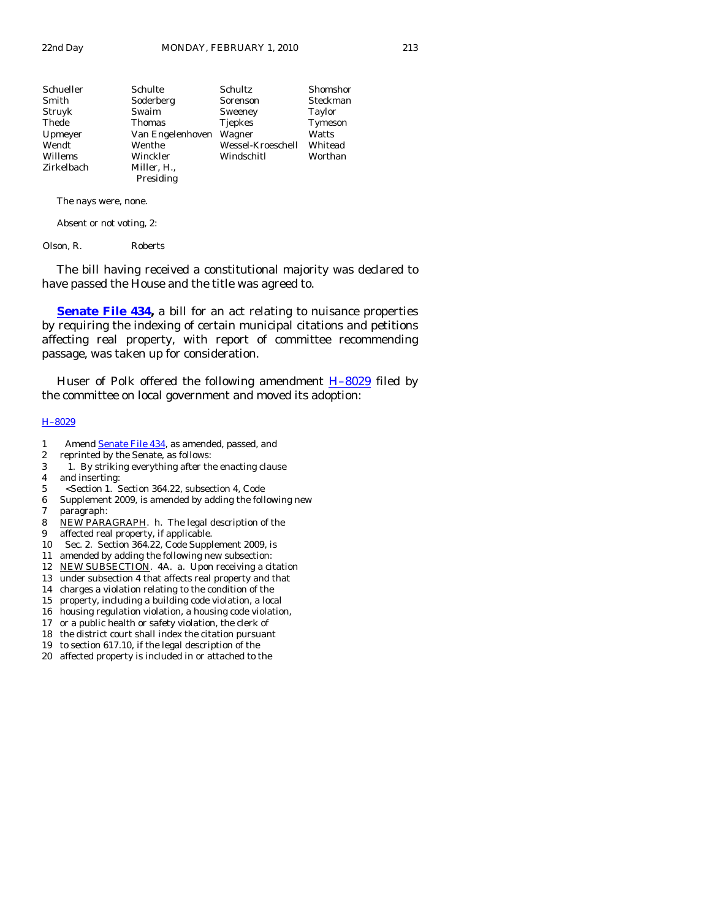| Schueller  | Schulte          | Schultz           | Shomshor      |
|------------|------------------|-------------------|---------------|
| Smith      | Soderberg        | Sorenson          | Steckman      |
| Struyk     | Swaim            | Sweeney           | <b>Taylor</b> |
| Thede      | <b>Thomas</b>    | <b>Tjepkes</b>    | Tymeson       |
| Upmeyer    | Van Engelenhoven | Wagner            | Watts         |
| Wendt      | Wenthe           | Wessel-Kroeschell | Whitead       |
| Willems    | Winckler         | Windschitl        | Worthan       |
| Zirkelbach | Miller, H.,      |                   |               |
|            | Presiding        |                   |               |

The nays were, none.

Absent or not voting, 2:

Olson, R. Roberts

 The bill having received a constitutional majority was declared to have passed the House and the title was agreed to.

**[Senate File 434,](http://coolice.legis.state.ia.us/Cool-ICE/default.asp?Category=billinfo&Service=Billbook&frame=1&GA=83&hbill=SF434)** a bill for an act relating to nuisance properties by requiring the indexing of certain municipal citations and petitions affecting real property, with report of committee recommending passage, was taken up for consideration.

Huser of Polk offered the following amendment  $H-8029$  filed by the committee on local government and moved its adoption:

## [H–8029](http://coolice.legis.state.ia.us/Cool-ICE/default.asp?Category=billinfo&Service=Billbook&frame=1&GA=83&hbill=H8029)

- 1 Amend [Senate File 434](http://coolice.legis.state.ia.us/Cool-ICE/default.asp?Category=billinfo&Service=Billbook&frame=1&GA=83&hbill=SF434), as amended, passed, and
- 2 reprinted by the Senate, as follows:
- 3 1. By striking everything after the enacting clause 4 and inserting:
- 5 <Section 1. Section 364.22, subsection 4, Code
- 6 Supplement 2009, is amended by adding the following new
- 7 paragraph:
- 8 NEW PARAGRAPH. h. The legal description of the
- 9 affected real property, if applicable.
- 10 Sec. 2. Section 364.22, Code Supplement 2009, is
- 11 amended by adding the following new subsection:
- 12 NEW SUBSECTION. 4A. a. Upon receiving a citation
- 13 under subsection 4 that affects real property and that
- 14 charges a violation relating to the condition of the
- 15 property, including a building code violation, a local
- 16 housing regulation violation, a housing code violation,
- 17 or a public health or safety violation, the clerk of
- 18 the district court shall index the citation pursuant
- 19 to section 617.10, if the legal description of the
- 20 affected property is included in or attached to the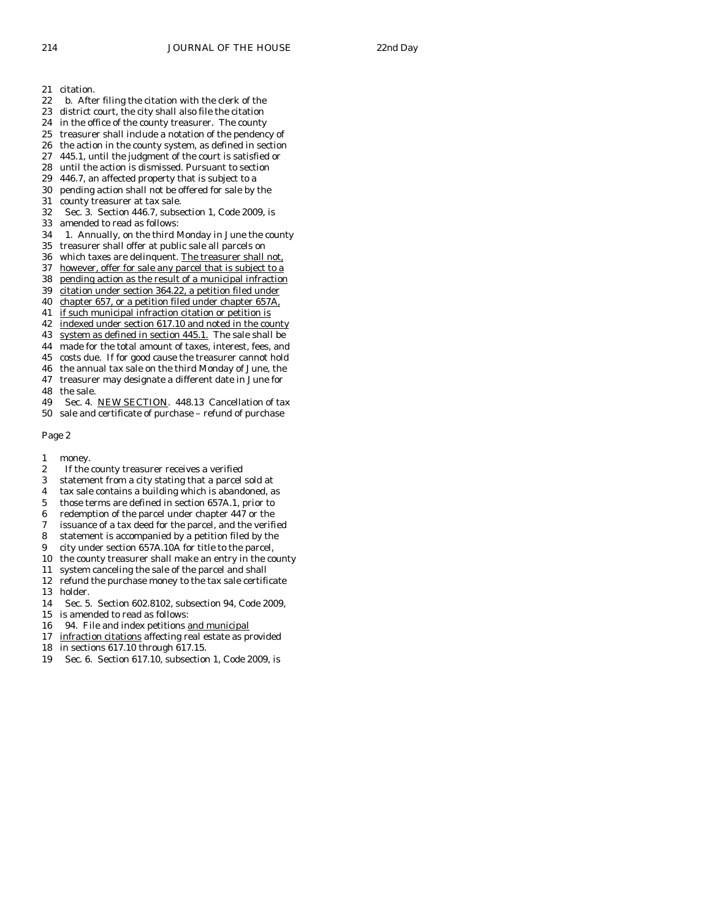- 21 citation.
- 22 b. After filing the citation with the clerk of the
- 23 district court, the city shall also file the citation
- 24 in the office of the county treasurer. The county
- 25 treasurer shall include a notation of the pendency of
- 26 the action in the county system, as defined in section
- 27 445.1, until the judgment of the court is satisfied or
- 28 until the action is dismissed. Pursuant to section 29 446.7. an affected property that is subject to a
- 446.7, an affected property that is subject to a 30 pending action shall not be offered for sale by the
- 
- 31 county treasurer at tax sale.
- 32 Sec. 3. Section 446.7, subsection 1, Code 2009, is
- 33 amended to read as follows:
- 34 1. Annually, on the third Monday in June the county
- 35 treasurer shall offer at public sale all parcels on
- 36 which taxes are delinquent. The treasurer shall not,
- 37 however, offer for sale any parcel that is subject to a
- 38 pending action as the result of a municipal infraction
- 39 citation under section 364.22, a petition filed under
- 40 chapter 657, or a petition filed under chapter 657A,
- 41 if such municipal infraction citation or petition is
- 42 indexed under section 617.10 and noted in the county
- 43 system as defined in section 445.1. The sale shall be 44 made for the total amount of taxes, interest, fees, and
- 
- 45 costs due. If for good cause the treasurer cannot hold 46 the annual tax sale on the third Monday of June, the
- 47 treasurer may designate a different date in June for
- 48 the sale.
- 49 Sec. 4. NEW SECTION. 448.13 Cancellation of tax
- 50 sale and certificate of purchase refund of purchase

Page 2

- 1 money.
- 2 If the county treasurer receives a verified
- 3 statement from a city stating that a parcel sold at
- 4 tax sale contains a building which is abandoned, as
- 5 those terms are defined in section 657A.1, prior to
- 6 redemption of the parcel under chapter 447 or the
- 7 issuance of a tax deed for the parcel, and the verified
- 8 statement is accompanied by a petition filed by the
- 9 city under section 657A.10A for title to the parcel,
- 10 the county treasurer shall make an entry in the county
- 11 system canceling the sale of the parcel and shall
- 12 refund the purchase money to the tax sale certificate 13 holder.
- 14 Sec. 5. Section 602.8102, subsection 94, Code 2009,
- 15 is amended to read as follows:
- 16 94. File and index petitions and municipal
- 17 infraction citations affecting real estate as provided
- 18 in sections 617.10 through 617.15.
- 19 Sec. 6. Section 617.10, subsection 1, Code 2009, is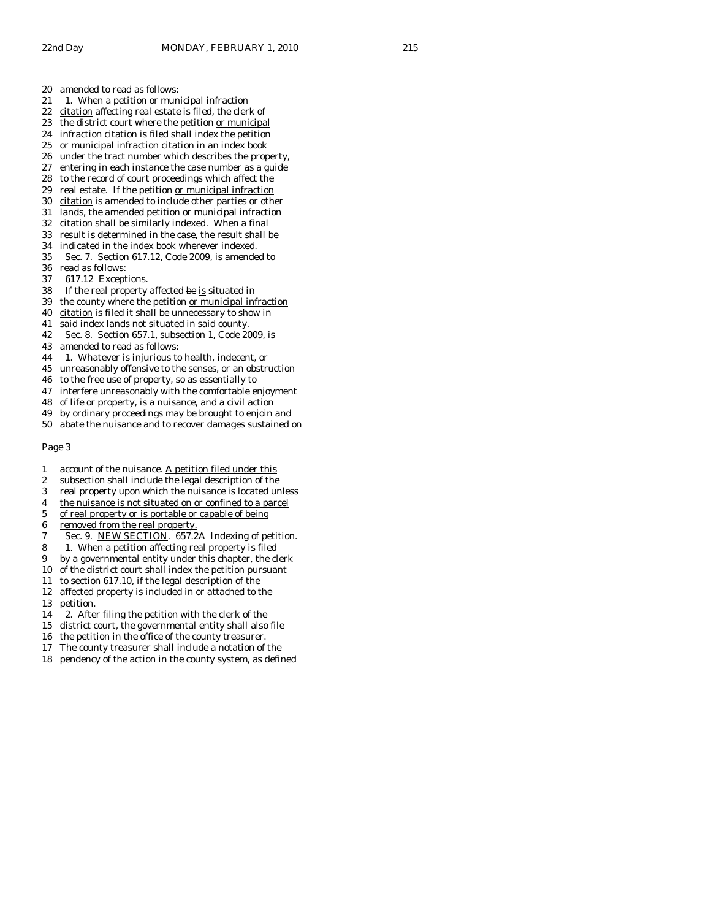- 21 1. When a petition or municipal infraction
- 22 citation affecting real estate is filed, the clerk of
- 23 the district court where the petition or municipal
- 24 infraction citation is filed shall index the petition
- 25 or municipal infraction citation in an index book
- 26 under the tract number which describes the property,
- 27 entering in each instance the case number as a guide<br>28 to the record of court proceedings which affect the
- to the record of court proceedings which affect the
- 29 real estate. If the petition or municipal infraction
- 30 citation is amended to include other parties or other 31 lands, the amended petition or municipal infraction
- 32 citation shall be similarly indexed. When a final
- 33 result is determined in the case, the result shall be
- 34 indicated in the index book wherever indexed.
- 35 Sec. 7. Section 617.12, Code 2009, is amended to
- 36 read as follows:
- 37 617.12 Exceptions.
- 38 If the real property affected  $\frac{1}{2}$  is situated in 39 the county where the petition or municipal inf
- the county where the petition or municipal infraction
- 40 citation is filed it shall be unnecessary to show in
- 41 said index lands not situated in said county.
- 42 Sec. 8. Section 657.1, subsection 1, Code 2009, is
- 43 amended to read as follows:
- 44 1. Whatever is injurious to health, indecent, or
- 45 unreasonably offensive to the senses, or an obstruction
- 46 to the free use of property, so as essentially to
- 47 interfere unreasonably with the comfortable enjoyment
- 48 of life or property, is a nuisance, and a civil action
- 49 by ordinary proceedings may be brought to enjoin and
- 50 abate the nuisance and to recover damages sustained on

#### Page 3

- 1 account of the nuisance. A petition filed under this
- 2 subsection shall include the legal description of the<br>3 real property upon which the nuisance is located un
- real property upon which the nuisance is located unless
- 4 the nuisance is not situated on or confined to a parcel
- 5 of real property or is portable or capable of being
- 6 removed from the real property.
- 7 Sec. 9. NEW SECTION. 657.2A Indexing of petition.
- 8 1. When a petition affecting real property is filed
- 9 by a governmental entity under this chapter, the clerk
- 10 of the district court shall index the petition pursuant
- 11 to section 617.10, if the legal description of the
- 12 affected property is included in or attached to the
- 13 petition.
- 14 2. After filing the petition with the clerk of the
- 15 district court, the governmental entity shall also file
- 16 the petition in the office of the county treasurer.
- 17 The county treasurer shall include a notation of the
- 18 pendency of the action in the county system, as defined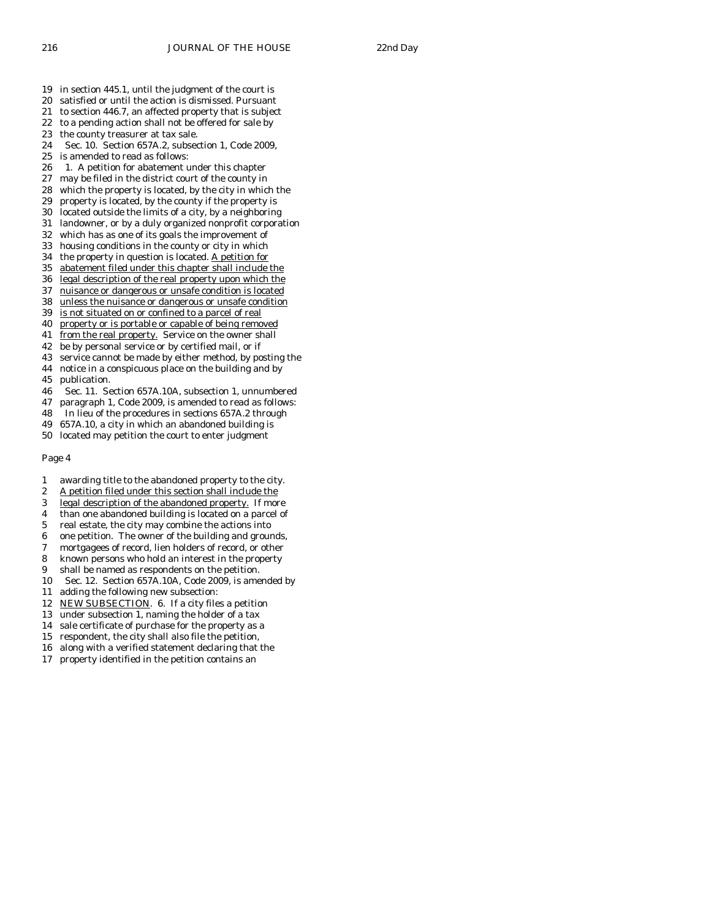- 19 in section 445.1, until the judgment of the court is
- 20 satisfied or until the action is dismissed. Pursuant
- 21 to section 446.7, an affected property that is subject
- 22 to a pending action shall not be offered for sale by
- 23 the county treasurer at tax sale.
- 24 Sec. 10. Section 657A.2, subsection 1, Code 2009,
- 25 is amended to read as follows:
- 26 1. A petition for abatement under this chapter 27 may be filed in the district court of the county in
- may be filed in the district court of the county in
- 28 which the property is located, by the city in which the
- 29 property is located, by the county if the property is 30 located outside the limits of a city, by a neighboring
- 31 landowner, or by a duly organized nonprofit corporation
- 32 which has as one of its goals the improvement of
- 33 housing conditions in the county or city in which
- 34 the property in question is located. A petition for
- 35 abatement filed under this chapter shall include the
- 36 legal description of the real property upon which the
- 37 nuisance or dangerous or unsafe condition is located
- 38 unless the nuisance or dangerous or unsafe condition
- 39 is not situated on or confined to a parcel of real
- 40 property or is portable or capable of being removed
- 41 from the real property. Service on the owner shall
- 42 be by personal service or by certified mail, or if
- 43 service cannot be made by either method, by posting the
- 44 notice in a conspicuous place on the building and by
- 45 publication.
- 46 Sec. 11. Section 657A.10A, subsection 1, unnumbered
- 47 paragraph 1, Code 2009, is amended to read as follows:
- 48 In lieu of the procedures in sections 657A.2 through
- 49 657A.10, a city in which an abandoned building is
- 50 located may petition the court to enter judgment

#### Page 4

- 1 awarding title to the abandoned property to the city.
- 2 A petition filed under this section shall include the
- 3 legal description of the abandoned property. If more
- 4 than one abandoned building is located on a parcel of
- 5 real estate, the city may combine the actions into
- 6 one petition. The owner of the building and grounds,
- 7 mortgagees of record, lien holders of record, or other
- 8 known persons who hold an interest in the property
- 9 shall be named as respondents on the petition.
- 10 Sec. 12. Section 657A.10A, Code 2009, is amended by
- 11 adding the following new subsection:
- 12 NEW SUBSECTION. 6. If a city files a petition
- 13 under subsection 1, naming the holder of a tax
- 14 sale certificate of purchase for the property as a
- 15 respondent, the city shall also file the petition,
- 16 along with a verified statement declaring that the
- 17 property identified in the petition contains an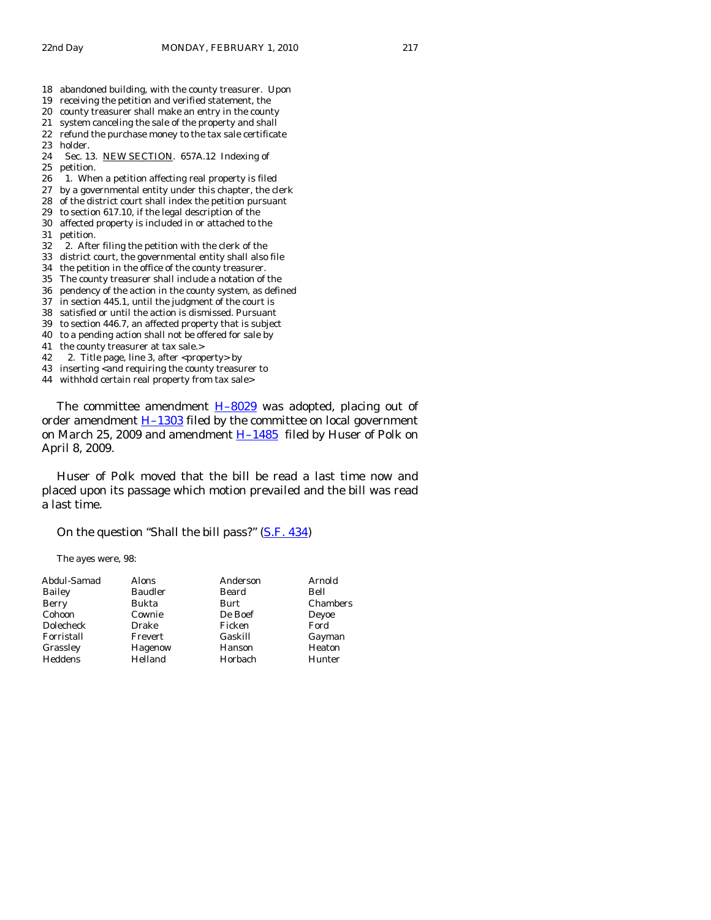- 18 abandoned building, with the county treasurer. Upon
- 19 receiving the petition and verified statement, the
- 20 county treasurer shall make an entry in the county
- 21 system canceling the sale of the property and shall
- 22 refund the purchase money to the tax sale certificate 23 holder.
- 24 Sec. 13. NEW SECTION. 657A.12 Indexing of 25 petition.<br>26 1. Whe
- 1. When a petition affecting real property is filed
- 27 by a governmental entity under this chapter, the clerk
- 28 of the district court shall index the petition pursuant
- 29 to section 617.10, if the legal description of the 30 affected property is included in or attached to the
- 31 petition.
- 32 2. After filing the petition with the clerk of the
- 33 district court, the governmental entity shall also file
- 34 the petition in the office of the county treasurer.
- 35 The county treasurer shall include a notation of the
- 36 pendency of the action in the county system, as defined
- 37 in section 445.1, until the judgment of the court is
- 38 satisfied or until the action is dismissed. Pursuant
- 39 to section 446.7, an affected property that is subject
- 40 to a pending action shall not be offered for sale by
- 41 the county treasurer at tax sale.>
- 42 2. Title page, line 3, after <property> by
- 43 inserting <and requiring the county treasurer to
- 44 withhold certain real property from tax sale>

The committee amendment  $H-8029$  was adopted, placing out of order amendment  $H-1303$  filed by the committee on local government on March 25, 2009 and amendment  $H-1485$  filed by Huser of Polk on April 8, 2009.

 Huser of Polk moved that the bill be read a last time now and placed upon its passage which motion prevailed and the bill was read a last time.

On the question "Shall the bill pass?" [\(S.F. 434](http://coolice.legis.state.ia.us/Cool-ICE/default.asp?Category=billinfo&Service=Billbook&frame=1&GA=83&hbill=SF434))

The ayes were, 98:

| Abdul-Samad  | Alons          | Anderson | Arnold   |
|--------------|----------------|----------|----------|
| Bailey       | <b>Baudler</b> | Beard    | Bell     |
| <b>Berry</b> | Bukta          | Burt     | Chambers |
| Cohoon       | Cownie         | De Boef  | Deyoe    |
| Dolecheck    | Drake          | Ficken   | Ford     |
| Forristall   | Frevert        | Gaskill  | Gayman   |
| Grassley     | Hagenow        | Hanson   | Heaton   |
| Heddens      | Helland        | Horbach  | Hunter   |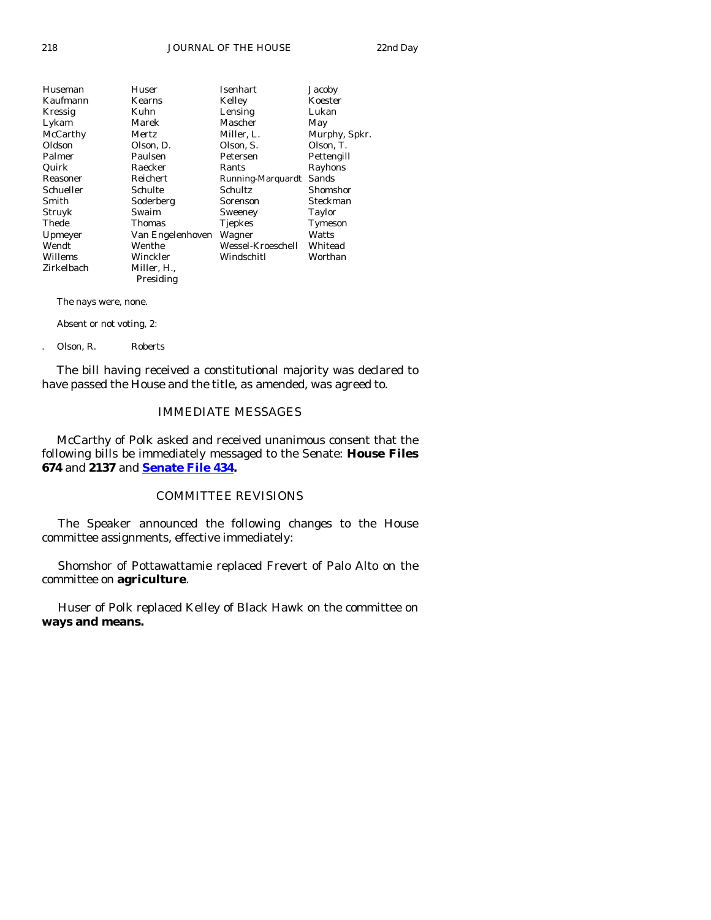| Huseman    | Huser            | Isenhart          | Jacoby        |
|------------|------------------|-------------------|---------------|
| Kaufmann   | Kearns           | Kelley            | Koester       |
| Kressig    | Kuhn             | Lensing           | Lukan         |
| Lykam      | Marek            | Mascher           | May           |
| McCarthy   | Mertz            | Miller, L.        | Murphy, Spkr. |
| Oldson     | Olson, D.        | Olson, S.         | Olson, T.     |
| Palmer     | Paulsen          | Petersen          | Pettengill    |
| Quirk      | Raecker          | Rants             | Rayhons       |
| Reasoner   | Reichert         | Running-Marquardt | Sands         |
| Schueller  | Schulte          | Schultz           | Shomshor      |
| Smith      | Soderberg        | Sorenson          | Steckman      |
| Struyk     | Swaim            | Sweeney           | Taylor        |
| Thede      | <b>Thomas</b>    | <b>Tjepkes</b>    | Tymeson       |
| Upmeyer    | Van Engelenhoven | Wagner            | Watts         |
| Wendt      | Wenthe           | Wessel-Kroeschell | Whitead       |
| Willems    | Winckler         | Windschitl        | Worthan       |
| Zirkelbach | Miller, H.,      |                   |               |
|            | Presiding        |                   |               |

The nays were, none.

Absent or not voting, 2:

. Olson, R. Roberts

 The bill having received a constitutional majority was declared to have passed the House and the title, as amended, was agreed to.

# IMMEDIATE MESSAGES

 McCarthy of Polk asked and received unanimous consent that the following bills be immediately messaged to the Senate: **House Files 674** and **2137** and **[Senate File 434](http://coolice.legis.state.ia.us/Cool-ICE/default.asp?Category=billinfo&Service=Billbook&frame=1&GA=83&hbill=SF434).**

# COMMITTEE REVISIONS

 The Speaker announced the following changes to the House committee assignments, effective immediately:

 Shomshor of Pottawattamie replaced Frevert of Palo Alto on the committee on **agriculture**.

 Huser of Polk replaced Kelley of Black Hawk on the committee on **ways and means.**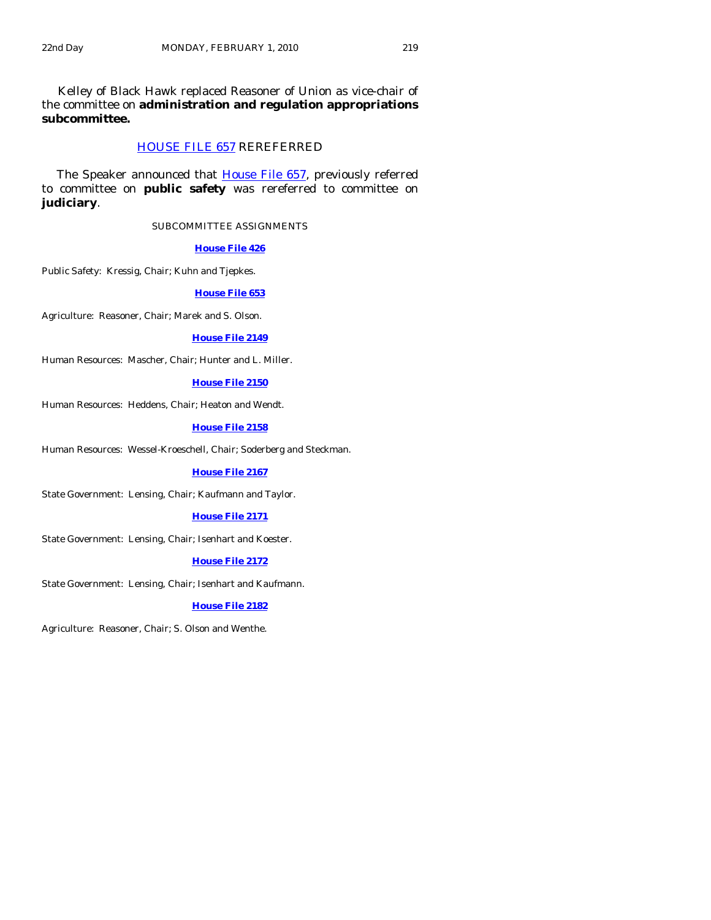Kelley of Black Hawk replaced Reasoner of Union as vice-chair of the committee on **administration and regulation appropriations subcommittee.** 

# [HOUSE FILE 657](http://coolice.legis.state.ia.us/Cool-ICE/default.asp?Category=billinfo&Service=Billbook&frame=1&GA=83&hbill=HF657) REREFERRED

The Speaker announced that [House File 657,](http://coolice.legis.state.ia.us/Cool-ICE/default.asp?Category=billinfo&Service=Billbook&frame=1&GA=83&hbill=HF657) previously referred to committee on **public safety** was rereferred to committee on **judiciary**.

#### SUBCOMMITTEE ASSIGNMENTS

#### **[House File 426](http://coolice.legis.state.ia.us/Cool-ICE/default.asp?Category=billinfo&Service=Billbook&frame=1&GA=83&hbill=HF426)**

Public Safety: Kressig, Chair; Kuhn and Tjepkes.

## **[House File 653](http://coolice.legis.state.ia.us/Cool-ICE/default.asp?Category=billinfo&Service=Billbook&frame=1&GA=83&hbill=HF653)**

Agriculture: Reasoner, Chair; Marek and S. Olson.

#### **[House File 2149](http://coolice.legis.state.ia.us/Cool-ICE/default.asp?Category=billinfo&Service=Billbook&frame=1&GA=83&hbill=HF2149)**

Human Resources: Mascher, Chair; Hunter and L. Miller.

# **[House File 2150](http://coolice.legis.state.ia.us/Cool-ICE/default.asp?Category=billinfo&Service=Billbook&frame=1&GA=83&hbill=HF2150)**

Human Resources: Heddens, Chair; Heaton and Wendt.

# **[House File 2158](http://coolice.legis.state.ia.us/Cool-ICE/default.asp?Category=billinfo&Service=Billbook&frame=1&GA=83&hbill=HF2158)**

Human Resources: Wessel-Kroeschell, Chair; Soderberg and Steckman.

#### **[House File 2167](http://coolice.legis.state.ia.us/Cool-ICE/default.asp?Category=billinfo&Service=Billbook&frame=1&GA=83&hbill=HF2167)**

State Government: Lensing, Chair; Kaufmann and Taylor.

## **[House File 2171](http://coolice.legis.state.ia.us/Cool-ICE/default.asp?Category=billinfo&Service=Billbook&frame=1&GA=83&hbill=HF2171)**

State Government: Lensing, Chair; Isenhart and Koester.

## **[House File 2172](http://coolice.legis.state.ia.us/Cool-ICE/default.asp?Category=billinfo&Service=Billbook&frame=1&GA=83&hbill=HF2172)**

State Government: Lensing, Chair; Isenhart and Kaufmann.

#### **[House File 2182](http://coolice.legis.state.ia.us/Cool-ICE/default.asp?Category=billinfo&Service=Billbook&frame=1&GA=83&hbill=HF2182)**

Agriculture: Reasoner, Chair; S. Olson and Wenthe.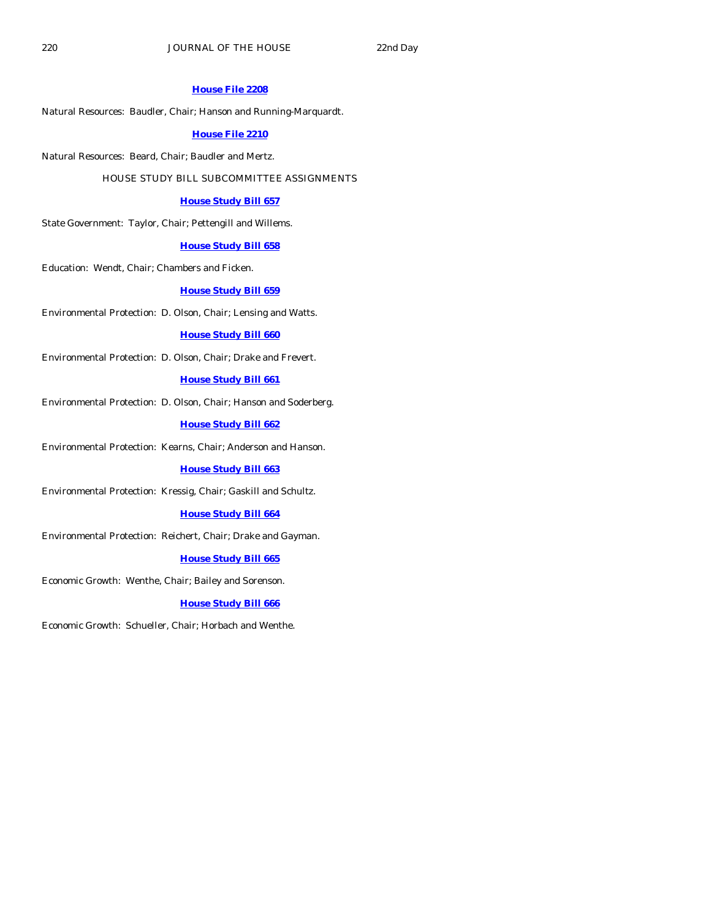#### **[House File 2208](http://coolice.legis.state.ia.us/Cool-ICE/default.asp?Category=billinfo&Service=Billbook&frame=1&GA=83&hbill=HF2208)**

Natural Resources: Baudler, Chair; Hanson and Running-Marquardt.

# **[House File 2210](http://coolice.legis.state.ia.us/Cool-ICE/default.asp?Category=billinfo&Service=Billbook&frame=1&GA=83&hbill=HF2210)**

Natural Resources: Beard, Chair; Baudler and Mertz.

# HOUSE STUDY BILL SUBCOMMITTEE ASSIGNMENTS

#### **[House Study Bill 657](http://coolice.legis.state.ia.us/Cool-ICE/default.asp?Category=billinfo&Service=Billbook&frame=1&GA=83&hbill=HSB657)**

State Government: Taylor, Chair; Pettengill and Willems.

## **[House Study Bill 658](http://coolice.legis.state.ia.us/Cool-ICE/default.asp?Category=billinfo&Service=Billbook&frame=1&GA=83&hbill=HSB658)**

Education: Wendt, Chair; Chambers and Ficken.

#### **[House Study Bill 659](http://coolice.legis.state.ia.us/Cool-ICE/default.asp?Category=billinfo&Service=Billbook&frame=1&GA=83&hbill=HSB659)**

Environmental Protection: D. Olson, Chair; Lensing and Watts.

#### **[House Study Bill 660](http://coolice.legis.state.ia.us/Cool-ICE/default.asp?Category=billinfo&Service=Billbook&frame=1&GA=83&hbill=HSB660)**

Environmental Protection: D. Olson, Chair; Drake and Frevert.

# **[House Study Bill 661](http://coolice.legis.state.ia.us/Cool-ICE/default.asp?Category=billinfo&Service=Billbook&frame=1&GA=83&hbill=HSB661)**

Environmental Protection: D. Olson, Chair; Hanson and Soderberg.

**[House Study Bill 662](http://coolice.legis.state.ia.us/Cool-ICE/default.asp?Category=billinfo&Service=Billbook&frame=1&GA=83&hbill=HSB662)**

Environmental Protection: Kearns, Chair; Anderson and Hanson.

#### **[House Study Bill 663](http://coolice.legis.state.ia.us/Cool-ICE/default.asp?Category=billinfo&Service=Billbook&frame=1&GA=83&hbill=HSB663)**

Environmental Protection: Kressig, Chair; Gaskill and Schultz.

#### **[House Study Bill 664](http://coolice.legis.state.ia.us/Cool-ICE/default.asp?Category=billinfo&Service=Billbook&frame=1&GA=83&hbill=HSB664)**

Environmental Protection: Reichert, Chair; Drake and Gayman.

### **[House Study Bill 665](http://coolice.legis.state.ia.us/Cool-ICE/default.asp?Category=billinfo&Service=Billbook&frame=1&GA=83&hbill=HSB665)**

Economic Growth: Wenthe, Chair; Bailey and Sorenson.

#### **[House Study Bill 666](http://coolice.legis.state.ia.us/Cool-ICE/default.asp?Category=billinfo&Service=Billbook&frame=1&GA=83&hbill=HSB666)**

Economic Growth: Schueller, Chair; Horbach and Wenthe.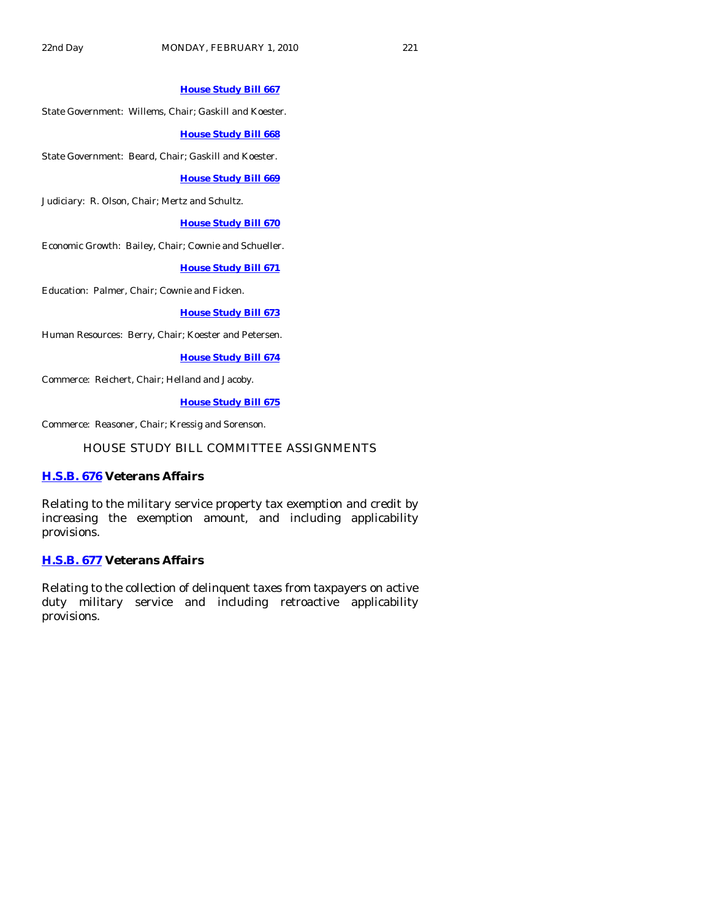# **[House Study Bill 667](http://coolice.legis.state.ia.us/Cool-ICE/default.asp?Category=billinfo&Service=Billbook&frame=1&GA=83&hbill=HSB667)**

State Government: Willems, Chair; Gaskill and Koester.

### **[House Study Bill 668](http://coolice.legis.state.ia.us/Cool-ICE/default.asp?Category=billinfo&Service=Billbook&frame=1&GA=83&hbill=HSB668)**

State Government: Beard, Chair; Gaskill and Koester.

## **[House Study Bill 669](http://coolice.legis.state.ia.us/Cool-ICE/default.asp?Category=billinfo&Service=Billbook&frame=1&GA=83&hbill=HSB669)**

Judiciary: R. Olson, Chair; Mertz and Schultz.

# **[House Study Bill 670](http://coolice.legis.state.ia.us/Cool-ICE/default.asp?Category=billinfo&Service=Billbook&frame=1&GA=83&hbill=HSB670)**

Economic Growth: Bailey, Chair; Cownie and Schueller.

# **[House Study Bill 671](http://coolice.legis.state.ia.us/Cool-ICE/default.asp?Category=billinfo&Service=Billbook&frame=1&GA=83&hbill=HSB671)**

Education: Palmer, Chair; Cownie and Ficken.

# **[House Study Bill 673](http://coolice.legis.state.ia.us/Cool-ICE/default.asp?Category=billinfo&Service=Billbook&frame=1&GA=83&hbill=HSB673)**

Human Resources: Berry, Chair; Koester and Petersen.

#### **[House Study Bill 674](http://coolice.legis.state.ia.us/Cool-ICE/default.asp?Category=billinfo&Service=Billbook&frame=1&GA=83&hbill=HSB674)**

Commerce: Reichert, Chair; Helland and Jacoby.

# **[House Study Bill 675](http://coolice.legis.state.ia.us/Cool-ICE/default.asp?Category=billinfo&Service=Billbook&frame=1&GA=83&hbill=HSB675)**

Commerce: Reasoner, Chair; Kressig and Sorenson.

# HOUSE STUDY BILL COMMITTEE ASSIGNMENTS

# **[H.S.B. 676](http://coolice.legis.state.ia.us/Cool-ICE/default.asp?Category=billinfo&Service=Billbook&frame=1&GA=83&hbill=HSB676) Veterans Affairs**

Relating to the military service property tax exemption and credit by increasing the exemption amount, and including applicability provisions.

## **[H.S.B. 677](http://coolice.legis.state.ia.us/Cool-ICE/default.asp?Category=billinfo&Service=Billbook&frame=1&GA=83&hbill=HSB677) Veterans Affairs**

Relating to the collection of delinquent taxes from taxpayers on active duty military service and including retroactive applicability provisions.